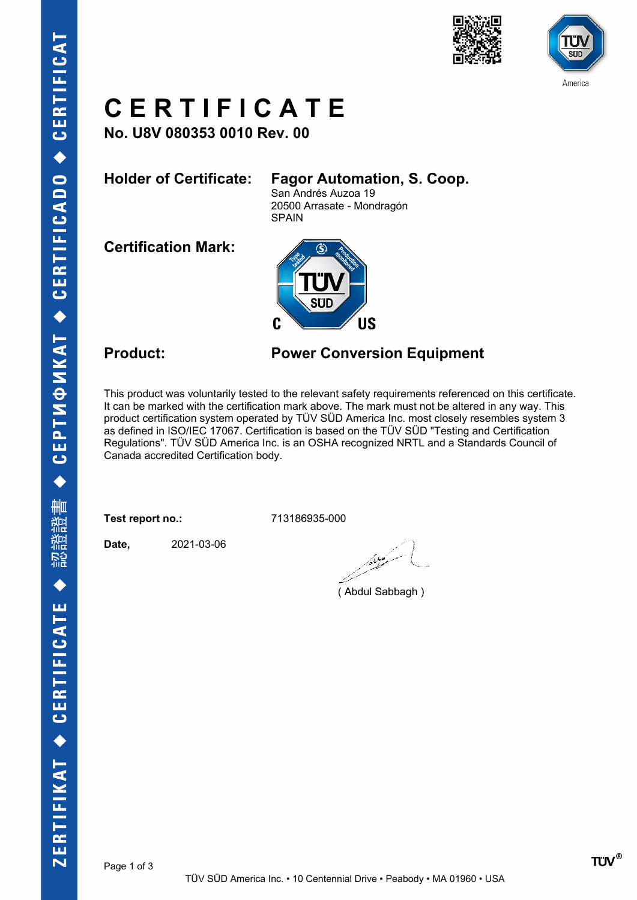

America

## **C E R T I F I C A T E**

**No. U8V 080353 0010 Rev. 00**

### **Holder of Certificate: Fagor Automation, S. Coop.**

San Andrés Auzoa 19 20500 Arrasate - Mondragón SPAIN

**Certification Mark:**



### **Product: Power Conversion Equipment**

This product was voluntarily tested to the relevant safety requirements referenced on this certificate. It can be marked with the certification mark above. The mark must not be altered in any way. This product certification system operated by TÜV SÜD America Inc. most closely resembles system 3 as defined in ISO/IEC 17067. Certification is based on the TÜV SÜD "Testing and Certification Regulations". TÜV SÜD America Inc. is an OSHA recognized NRTL and a Standards Council of Canada accredited Certification body.

Test report no.: 713186935-000

**Date,** 2021-03-06

مسكودا

( Abdul Sabbagh )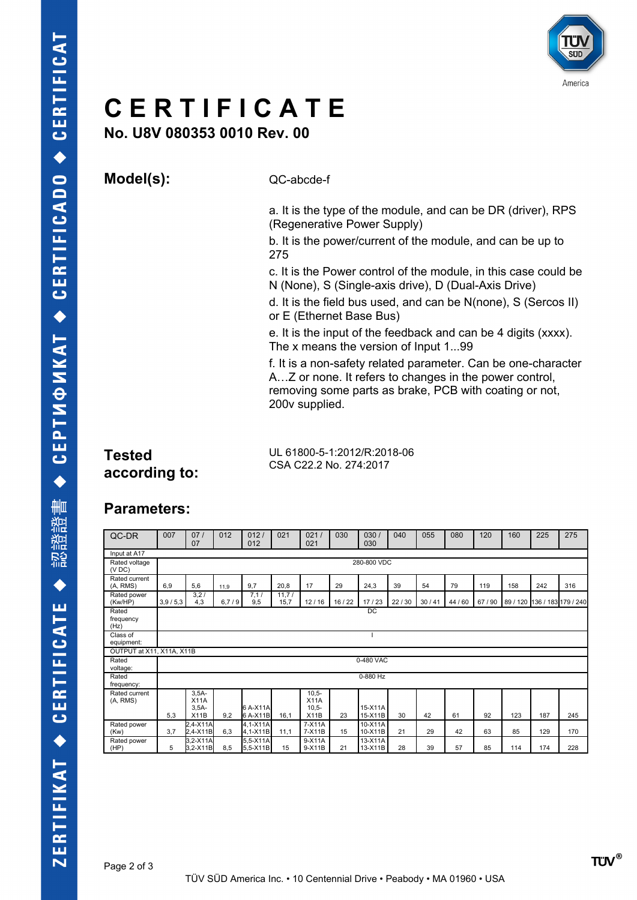

## **C E R T I F I C A T E**

**No. U8V 080353 0010 Rev. 00**

**Model(s):** QC-abcde-f

a. It is the type of the module, and can be DR (driver), RPS (Regenerative Power Supply)

b. It is the power/current of the module, and can be up to 275

c. It is the Power control of the module, in this case could be N (None), S (Single-axis drive), D (Dual-Axis Drive)

d. It is the field bus used, and can be N(none), S (Sercos II) or E (Ethernet Base Bus)

e. It is the input of the feedback and can be 4 digits (xxxx). The x means the version of Input 1...99

f. It is a non-safety related parameter. Can be one-character A…Z or none. It refers to changes in the power control, removing some parts as brake, PCB with coating or not, 200v supplied.

### **Tested according to:**

UL 61800-5-1:2012/R:2018-06 CSA C22.2 No. 274:2017

### **Parameters:**

| QC-DR                      | 007         | 07/<br>07                          | 012   | 012/<br>012            | 021           | 021/<br>021                        | 030     | 030/<br>030        | 040   | 055   | 080     | 120   | 160 | 225                          | 275 |
|----------------------------|-------------|------------------------------------|-------|------------------------|---------------|------------------------------------|---------|--------------------|-------|-------|---------|-------|-----|------------------------------|-----|
| Input at A17               |             |                                    |       |                        |               |                                    |         |                    |       |       |         |       |     |                              |     |
| Rated voltage<br>(VDC)     | 280-800 VDC |                                    |       |                        |               |                                    |         |                    |       |       |         |       |     |                              |     |
| Rated current<br>(A, RMS)  | 6,9         | 5,6                                | 11.9  | 9.7                    | 20.8          | 17                                 | 29      | 24,3               | 39    | 54    | 79      | 119   | 158 | 242                          | 316 |
| Rated power<br>(Kw/HP)     | 3,9/5,3     | 3,21<br>4,3                        | 6,7/9 | 7,1/<br>9,5            | 11,7/<br>15,7 | 12/16                              | 16 / 22 | 17/23              | 22/30 | 30/41 | 44 / 60 | 67/90 |     | 89 / 120 136 / 183 179 / 240 |     |
| Rated<br>frequency<br>(Hz) | <b>DC</b>   |                                    |       |                        |               |                                    |         |                    |       |       |         |       |     |                              |     |
| Class of<br>equipment:     |             |                                    |       |                        |               |                                    |         |                    |       |       |         |       |     |                              |     |
| OUTPUT at X11, X11A, X11B  |             |                                    |       |                        |               |                                    |         |                    |       |       |         |       |     |                              |     |
| Rated<br>voltage:          | 0-480 VAC   |                                    |       |                        |               |                                    |         |                    |       |       |         |       |     |                              |     |
| Rated<br>frequency:        | 0-880 Hz    |                                    |       |                        |               |                                    |         |                    |       |       |         |       |     |                              |     |
| Rated current<br>(A, RMS)  | 5,3         | $3,5A-$<br>X11A<br>$3,5A-$<br>X11B | 9,2   | 6 A-X11A<br>6 A-X11B   | 16,1          | $10,5-$<br>X11A<br>$10,5-$<br>X11B | 23      | 15-X11A<br>15-X11B | 30    | 42    | 61      | 92    | 123 | 187                          | 245 |
| Rated power<br>(Kw)        | 3,7         | $2,4-X11A$<br>2,4-X11B             | 6,3   | $4,1-X11A$<br>4,1-X11B | 11,1          | $7-X11A$<br>7-X11B                 | 15      | 10-X11A<br>10-X11B | 21    | 29    | 42      | 63    | 85  | 129                          | 170 |
| Rated power<br>(HP)        | 5           | 3,2-X11A<br>3.2-X11B               | 8,5   | 5,5-X11A<br>5,5-X11B   | 15            | 9-X11A<br>9-X11B                   | 21      | 13-X11A<br>13-X11B | 28    | 39    | 57      | 85    | 114 | 174                          | 228 |